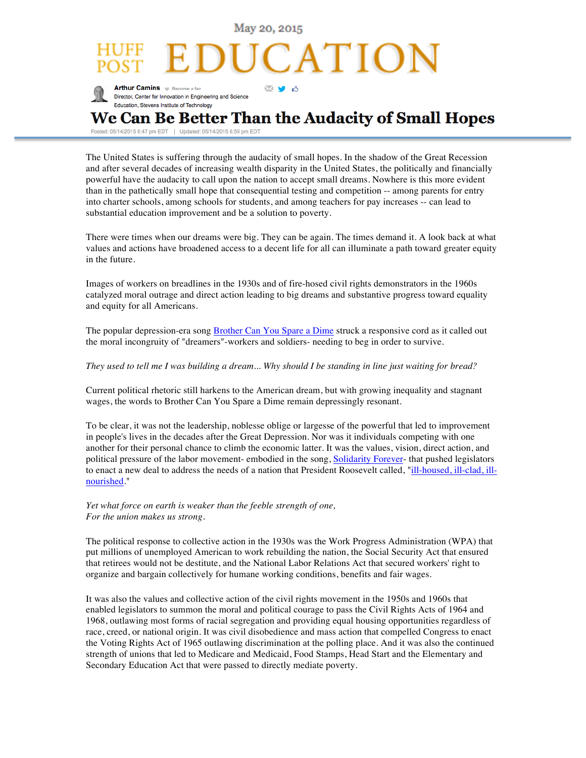

Posted: 05/14/2015 6:47 pm EDT | Updated: 05/14/2015 6:59 pm ED

The United States is suffering through the audacity of small hopes. In the shadow of the Great Recession and after several decades of increasing wealth disparity in the United States, the politically and financially powerful have the audacity to call upon the nation to accept small dreams. Nowhere is this more evident than in the pathetically small hope that consequential testing and competition -- among parents for entry into charter schools, among schools for students, and among teachers for pay increases -- can lead to substantial education improvement and be a solution to poverty.

There were times when our dreams were big. They can be again. The times demand it. A look back at what values and actions have broadened access to a decent life for all can illuminate a path toward greater equity in the future.

Images of workers on breadlines in the 1930s and of fire-hosed civil rights demonstrators in the 1960s catalyzed moral outrage and direct action leading to big dreams and substantive progress toward equality and equity for all Americans.

The popular depression-era song Brother Can You Spare a Dime struck a responsive cord as it called out the moral incongruity of "dreamers"-workers and soldiers- needing to beg in order to survive.

## *They used to tell me I was building a dream... Why should I be standing in line just waiting for bread?*

Current political rhetoric still harkens to the American dream, but with growing inequality and stagnant wages, the words to Brother Can You Spare a Dime remain depressingly resonant.

To be clear, it was not the leadership, noblesse oblige or largesse of the powerful that led to improvement in people's lives in the decades after the Great Depression. Nor was it individuals competing with one another for their personal chance to climb the economic latter. It was the values, vision, direct action, and political pressure of the labor movement- embodied in the song, Solidarity Forever- that pushed legislators to enact a new deal to address the needs of a nation that President Roosevelt called, "ill-housed, ill-clad, illnourished."

## *Yet what force on earth is weaker than the feeble strength of one, For the union makes us strong.*

The political response to collective action in the 1930s was the Work Progress Administration (WPA) that put millions of unemployed American to work rebuilding the nation, the Social Security Act that ensured that retirees would not be destitute, and the National Labor Relations Act that secured workers' right to organize and bargain collectively for humane working conditions, benefits and fair wages.

It was also the values and collective action of the civil rights movement in the 1950s and 1960s that enabled legislators to summon the moral and political courage to pass the Civil Rights Acts of 1964 and 1968, outlawing most forms of racial segregation and providing equal housing opportunities regardless of race, creed, or national origin. It was civil disobedience and mass action that compelled Congress to enact the Voting Rights Act of 1965 outlawing discrimination at the polling place. And it was also the continued strength of unions that led to Medicare and Medicaid, Food Stamps, Head Start and the Elementary and Secondary Education Act that were passed to directly mediate poverty.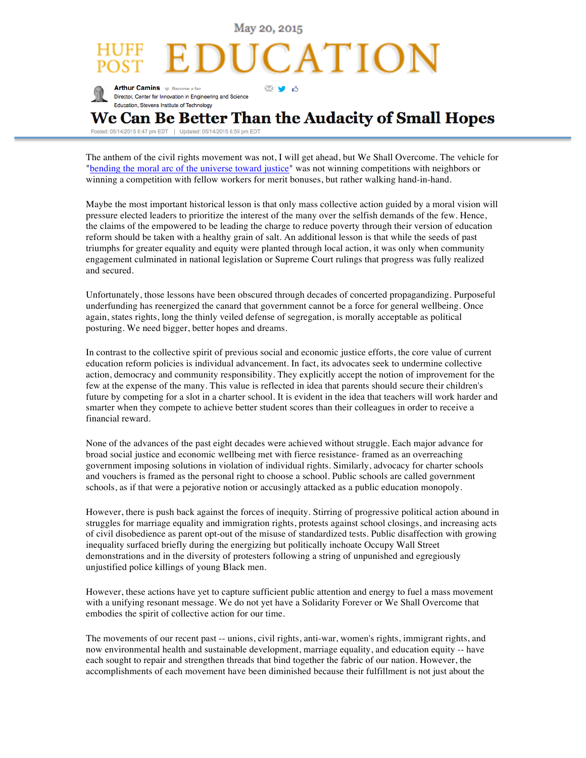May 20, 2015 ATION **Arthur Camins W** Become a fan MUA Director, Center for Innovation in Engineering and Science Education, Stevens Institute of Technology We Can Be Better Than the Audacity of Small Hopes

Posted: 05/14/2015 6:47 pm EDT | Updated: 05/14/2015 6:59 pm EDT

The anthem of the civil rights movement was not, I will get ahead, but We Shall Overcome. The vehicle for "bending the moral arc of the universe toward justice" was not winning competitions with neighbors or winning a competition with fellow workers for merit bonuses, but rather walking hand-in-hand.

Maybe the most important historical lesson is that only mass collective action guided by a moral vision will pressure elected leaders to prioritize the interest of the many over the selfish demands of the few. Hence, the claims of the empowered to be leading the charge to reduce poverty through their version of education reform should be taken with a healthy grain of salt. An additional lesson is that while the seeds of past triumphs for greater equality and equity were planted through local action, it was only when community engagement culminated in national legislation or Supreme Court rulings that progress was fully realized and secured.

Unfortunately, those lessons have been obscured through decades of concerted propagandizing. Purposeful underfunding has reenergized the canard that government cannot be a force for general wellbeing. Once again, states rights, long the thinly veiled defense of segregation, is morally acceptable as political posturing. We need bigger, better hopes and dreams.

In contrast to the collective spirit of previous social and economic justice efforts, the core value of current education reform policies is individual advancement. In fact, its advocates seek to undermine collective action, democracy and community responsibility. They explicitly accept the notion of improvement for the few at the expense of the many. This value is reflected in idea that parents should secure their children's future by competing for a slot in a charter school. It is evident in the idea that teachers will work harder and smarter when they compete to achieve better student scores than their colleagues in order to receive a financial reward.

None of the advances of the past eight decades were achieved without struggle. Each major advance for broad social justice and economic wellbeing met with fierce resistance- framed as an overreaching government imposing solutions in violation of individual rights. Similarly, advocacy for charter schools and vouchers is framed as the personal right to choose a school. Public schools are called government schools, as if that were a pejorative notion or accusingly attacked as a public education monopoly.

However, there is push back against the forces of inequity. Stirring of progressive political action abound in struggles for marriage equality and immigration rights, protests against school closings, and increasing acts of civil disobedience as parent opt-out of the misuse of standardized tests. Public disaffection with growing inequality surfaced briefly during the energizing but politically inchoate Occupy Wall Street demonstrations and in the diversity of protesters following a string of unpunished and egregiously unjustified police killings of young Black men.

However, these actions have yet to capture sufficient public attention and energy to fuel a mass movement with a unifying resonant message. We do not yet have a Solidarity Forever or We Shall Overcome that embodies the spirit of collective action for our time.

The movements of our recent past -- unions, civil rights, anti-war, women's rights, immigrant rights, and now environmental health and sustainable development, marriage equality, and education equity -- have each sought to repair and strengthen threads that bind together the fabric of our nation. However, the accomplishments of each movement have been diminished because their fulfillment is not just about the